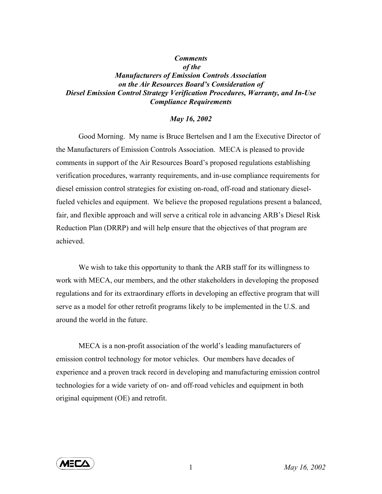## *Comments of the Manufacturers of Emission Controls Association on the Air Resources Board's Consideration of Diesel Emission Control Strategy Verification Procedures, Warranty, and In-Use Compliance Requirements*

## *May 16, 2002*

Good Morning. My name is Bruce Bertelsen and I am the Executive Director of the Manufacturers of Emission Controls Association. MECA is pleased to provide comments in support of the Air Resources Board's proposed regulations establishing verification procedures, warranty requirements, and in-use compliance requirements for diesel emission control strategies for existing on-road, off-road and stationary dieselfueled vehicles and equipment. We believe the proposed regulations present a balanced, fair, and flexible approach and will serve a critical role in advancing ARB's Diesel Risk Reduction Plan (DRRP) and will help ensure that the objectives of that program are achieved.

We wish to take this opportunity to thank the ARB staff for its willingness to work with MECA, our members, and the other stakeholders in developing the proposed regulations and for its extraordinary efforts in developing an effective program that will serve as a model for other retrofit programs likely to be implemented in the U.S. and around the world in the future.

MECA is a non-profit association of the world's leading manufacturers of emission control technology for motor vehicles. Our members have decades of experience and a proven track record in developing and manufacturing emission control technologies for a wide variety of on- and off-road vehicles and equipment in both original equipment (OE) and retrofit.



1 *May 16, 2002*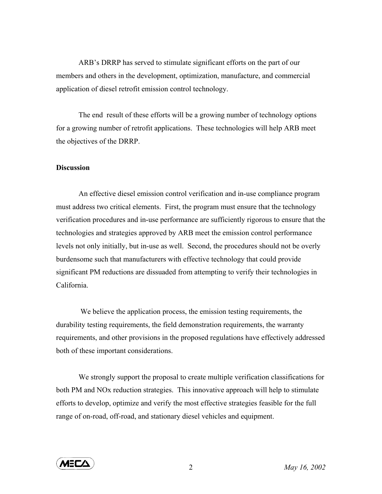ARB's DRRP has served to stimulate significant efforts on the part of our members and others in the development, optimization, manufacture, and commercial application of diesel retrofit emission control technology.

The end result of these efforts will be a growing number of technology options for a growing number of retrofit applications. These technologies will help ARB meet the objectives of the DRRP.

## **Discussion**

An effective diesel emission control verification and in-use compliance program must address two critical elements. First, the program must ensure that the technology verification procedures and in-use performance are sufficiently rigorous to ensure that the technologies and strategies approved by ARB meet the emission control performance levels not only initially, but in-use as well. Second, the procedures should not be overly burdensome such that manufacturers with effective technology that could provide significant PM reductions are dissuaded from attempting to verify their technologies in California.

 We believe the application process, the emission testing requirements, the durability testing requirements, the field demonstration requirements, the warranty requirements, and other provisions in the proposed regulations have effectively addressed both of these important considerations.

We strongly support the proposal to create multiple verification classifications for both PM and NOx reduction strategies. This innovative approach will help to stimulate efforts to develop, optimize and verify the most effective strategies feasible for the full range of on-road, off-road, and stationary diesel vehicles and equipment.

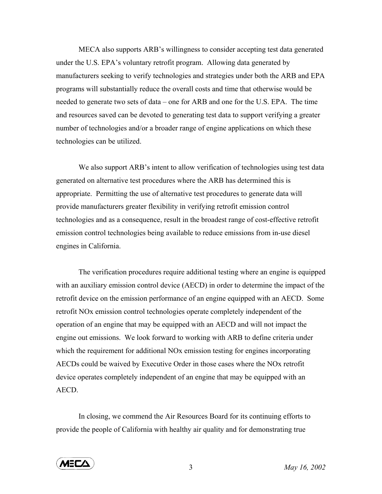MECA also supports ARB's willingness to consider accepting test data generated under the U.S. EPA's voluntary retrofit program. Allowing data generated by manufacturers seeking to verify technologies and strategies under both the ARB and EPA programs will substantially reduce the overall costs and time that otherwise would be needed to generate two sets of data – one for ARB and one for the U.S. EPA. The time and resources saved can be devoted to generating test data to support verifying a greater number of technologies and/or a broader range of engine applications on which these technologies can be utilized.

We also support ARB's intent to allow verification of technologies using test data generated on alternative test procedures where the ARB has determined this is appropriate. Permitting the use of alternative test procedures to generate data will provide manufacturers greater flexibility in verifying retrofit emission control technologies and as a consequence, result in the broadest range of cost-effective retrofit emission control technologies being available to reduce emissions from in-use diesel engines in California.

The verification procedures require additional testing where an engine is equipped with an auxiliary emission control device (AECD) in order to determine the impact of the retrofit device on the emission performance of an engine equipped with an AECD. Some retrofit NOx emission control technologies operate completely independent of the operation of an engine that may be equipped with an AECD and will not impact the engine out emissions. We look forward to working with ARB to define criteria under which the requirement for additional NO<sub>x</sub> emission testing for engines incorporating AECDs could be waived by Executive Order in those cases where the NOx retrofit device operates completely independent of an engine that may be equipped with an AECD.

In closing, we commend the Air Resources Board for its continuing efforts to provide the people of California with healthy air quality and for demonstrating true



3 *May 16, 2002*